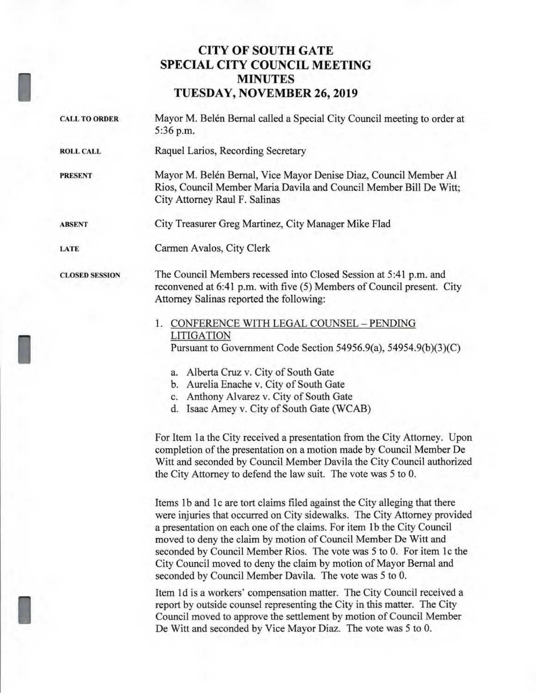# **CITY OF SOUTH GATE SPECIAL CITY COUNCIL MEETING MINUTES TUESDAY, NOVEMBER 26, 2019**

I

I

- **CALL TO ORDER** Mayor M. Belen Bernal called a Special City Council meeting to order at 5:36 p.m. **ROLL CALL** Raquel Larios, Recording Secretary **PRESENT Mayor M. Belén Bernal, Vice Mayor Denise Diaz, Council Member Al** Rios, Council Member Maria Davila and Council Member Bill De Witt; City Attorney Raul F. Salinas **ABSENT** City Treasurer Greg Martinez, City Manager Mike Flad **LATE** Carmen Avalos, City Clerk **CLOSED SESSION** The Council Members recessed into Closed Session at 5:41 p.m. and reconvened at 6:41 p.m. with five (5) Members of Council present. City Attorney Salinas reported the following: 1. CONFERENCE WITH LEGAL COUNSEL — PENDING LITIGATION Pursuant to Government Code Section 54956.9(a), 54954.9(b)(3)(C)
	- a. Alberta Cruz v. City of South Gate
	- b. Aurelia Enache v. City of South Gate
	- c. Anthony Alvarez v. City of South Gate
	- d. Isaac Amey v. City of South Gate (WCAB)

For Item 1a the City received a presentation from the City Attorney. Upon completion of the presentation on a motion made by Council Member De Witt and seconded by Council Member Davila the City Council authorized the City Attorney to defend the law suit. The vote was 5 to 0.

Items 1b and 1c are tort claims filed against the City alleging that there were injuries that occurred on City sidewalks. The City Attorney provided a presentation on each one of the claims. For item 1 b the City Council moved to deny the claim by motion of Council Member De Witt and seconded by Council Member Rios. The vote was 5 to 0. For item 1c the City Council moved to deny the claim by motion of Mayor Bernal and seconded by Council Member Davila. The vote was 5 to 0.

Item 1d is a workers' compensation matter. The City Council received a report by outside counsel representing the City in this matter. The City Council moved to approve the settlement by motion of Council Member De Witt and seconded by Vice Mayor Diaz. The vote was 5 to 0.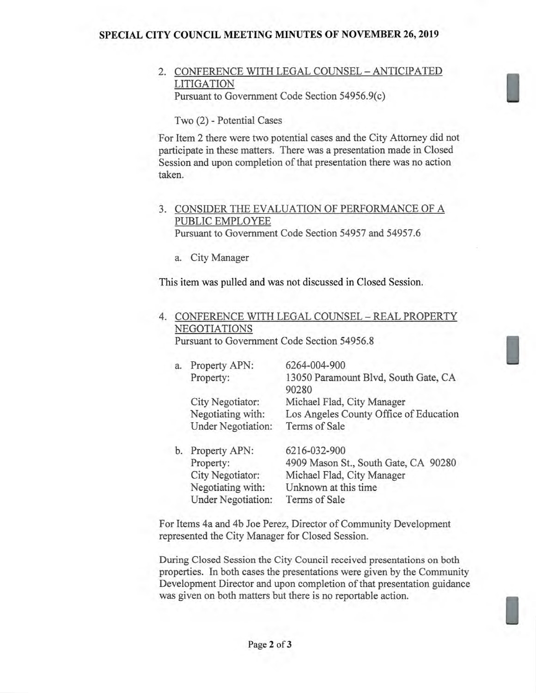### **SPECIAL CITY COUNCIL MEETING MINUTES OF NOVEMBER 26, 2019**

### 2. CONFERENCE WITH LEGAL COUNSEL — ANTICIPATED LITIGATION Pursuant to Government Code Section 54956.9(c)

Two (2) - Potential Cases

For Item 2 there were two potential cases and the City Attorney did not participate in these matters. There was a presentation made in Closed Session and upon completion of that presentation there was no action taken.

### 3. CONSIDER THE EVALUATION OF PERFORMANCE OF A PUBLIC EMPLOYEE

Pursuant to Government Code Section 54957 and 54957.6

a. City Manager

This item was pulled and was not discussed in Closed Session.

## 4. CONFERENCE WITH LEGAL COUNSEL — REAL PROPERTY NEGOTIATIONS

Pursuant to Government Code Section 54956.8

| a. | Property APN:             | 6264-004-900                           |
|----|---------------------------|----------------------------------------|
|    | Property:                 | 13050 Paramount Blvd, South Gate, CA   |
|    |                           | 90280                                  |
|    | City Negotiator:          | Michael Flad, City Manager             |
|    | Negotiating with:         | Los Angeles County Office of Education |
|    | <b>Under Negotiation:</b> | Terms of Sale                          |
| b. | Property APN:             | 6216-032-900                           |
|    | Property:                 | 4909 Mason St., South Gate, CA 90280   |
|    | City Negotiator:          | Michael Flad, City Manager             |
|    | Negotiating with:         | Unknown at this time                   |

For Items 4a and 4b Joe Perez, Director of Community Development represented the City Manager for Closed Session.

Terms of Sale

During Closed Session the City Council received presentations on both properties. In both cases the presentations were given by the Community Development Director and upon completion of that presentation guidance was given on both matters but there is no reportable action.

Under Negotiation: